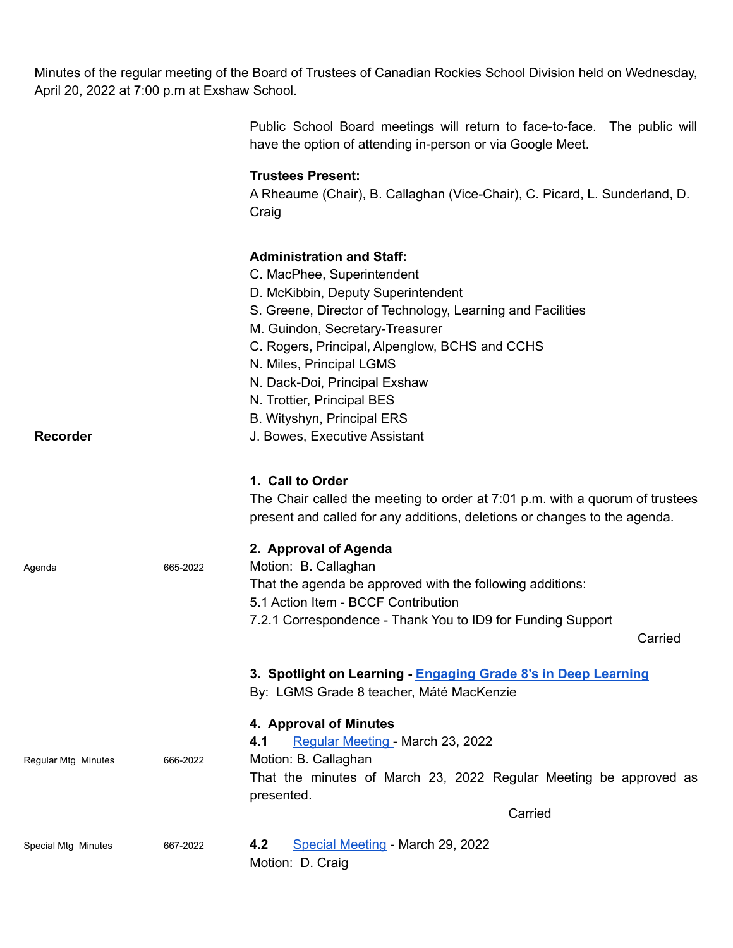Minutes of the regular meeting of the Board of Trustees of Canadian Rockies School Division held on Wednesday, April 20, 2022 at 7:00 p.m at Exshaw School.

|                     |          | Public School Board meetings will return to face-to-face. The public will<br>have the option of attending in-person or via Google Meet.                                                                                                                                                                                                                                                                           |
|---------------------|----------|-------------------------------------------------------------------------------------------------------------------------------------------------------------------------------------------------------------------------------------------------------------------------------------------------------------------------------------------------------------------------------------------------------------------|
|                     |          | <b>Trustees Present:</b><br>A Rheaume (Chair), B. Callaghan (Vice-Chair), C. Picard, L. Sunderland, D.<br>Craig                                                                                                                                                                                                                                                                                                   |
| <b>Recorder</b>     |          | <b>Administration and Staff:</b><br>C. MacPhee, Superintendent<br>D. McKibbin, Deputy Superintendent<br>S. Greene, Director of Technology, Learning and Facilities<br>M. Guindon, Secretary-Treasurer<br>C. Rogers, Principal, Alpenglow, BCHS and CCHS<br>N. Miles, Principal LGMS<br>N. Dack-Doi, Principal Exshaw<br>N. Trottier, Principal BES<br>B. Wityshyn, Principal ERS<br>J. Bowes, Executive Assistant |
|                     |          | 1. Call to Order<br>The Chair called the meeting to order at 7:01 p.m. with a quorum of trustees<br>present and called for any additions, deletions or changes to the agenda.                                                                                                                                                                                                                                     |
| Agenda              | 665-2022 | 2. Approval of Agenda<br>Motion: B. Callaghan<br>That the agenda be approved with the following additions:<br>5.1 Action Item - BCCF Contribution<br>7.2.1 Correspondence - Thank You to ID9 for Funding Support<br>Carried                                                                                                                                                                                       |
|                     |          | 3. Spotlight on Learning - Engaging Grade 8's in Deep Learning<br>By: LGMS Grade 8 teacher, Máté MacKenzie                                                                                                                                                                                                                                                                                                        |
| Regular Mtg Minutes | 666-2022 | 4. Approval of Minutes<br>Regular Meeting - March 23, 2022<br>4.1<br>Motion: B. Callaghan<br>That the minutes of March 23, 2022 Regular Meeting be approved as<br>presented.                                                                                                                                                                                                                                      |
|                     |          | Carried                                                                                                                                                                                                                                                                                                                                                                                                           |
| Special Mtg Minutes | 667-2022 | 4.2<br>Special Meeting - March 29, 2022<br>Motion: D. Craig                                                                                                                                                                                                                                                                                                                                                       |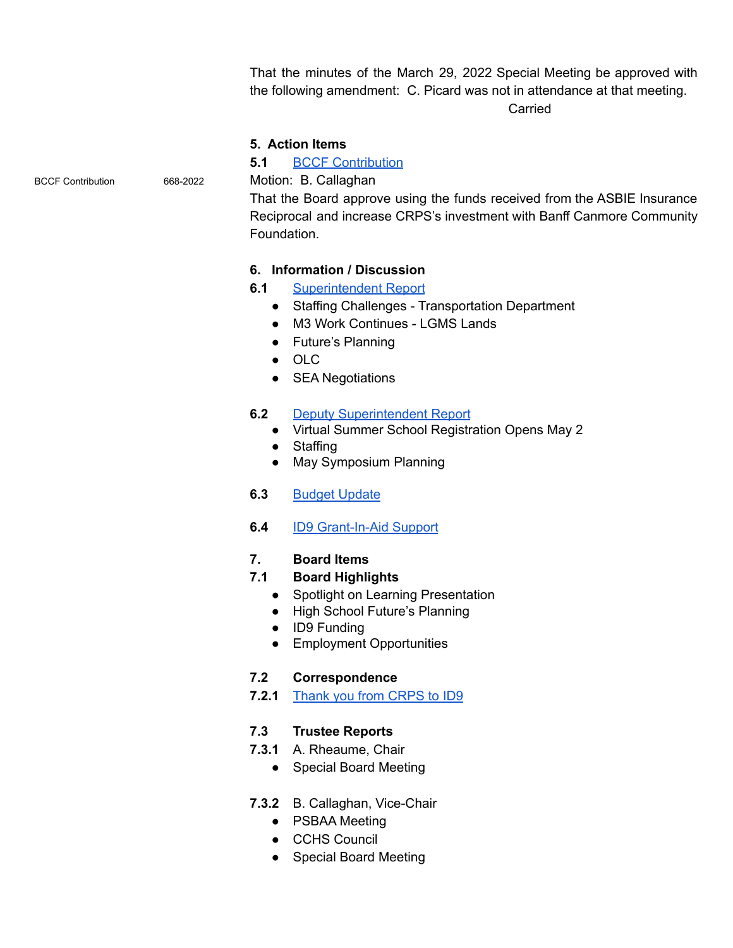That the minutes of the March 29, 2022 Special Meeting be approved with the following amendment: C. Picard was not in attendance at that meeting. Carried

#### **5. Action Items**

## **5.1** BCCF [Contribution](https://drive.google.com/file/d/1nUMmDqL1WXMEo9tfzbtvgC-zQ8ETER_K/view?usp=sharing)

BCCF Contribution 668-2022 Motion: B. Callaghan

That the Board approve using the funds received from the ASBIE Insurance Reciprocal and increase CRPS's investment with Banff Canmore Community Foundation.

# **6. Information / Discussion**

- **6.1** [Superintendent](https://drive.google.com/file/d/1nvJAiaTgfAunxoDKCOhPCBNb0bbxVHwd/view?usp=sharing) Report
	- Staffing Challenges Transportation Department
	- M3 Work Continues LGMS Lands
	- Future's Planning
	- OLC
	- SEA Negotiations

## **6.2** Deputy [Superintendent](https://drive.google.com/file/d/1m8akiHNRh_7j6D3GENF6NGaAcS9800Yg/view?usp=sharing) Report

- Virtual Summer School Registration Opens May 2
- Staffing
- May Symposium Planning
- **6.3** Budget [Update](https://drive.google.com/file/d/1n3JpA5Q6lU9Mf_EefMWPAa8EVHRrkUbn/view?usp=sharing)
- **6.4** ID9 [Grant-In-Aid](https://drive.google.com/file/d/1n5vi90Vd82VpJ8rlQQ07-M0--13LK6Pu/view?usp=sharing) Support

## **7. Board Items**

## **7.1 Board Highlights**

- Spotlight on Learning Presentation
- High School Future's Planning
- ID9 Funding
- Employment Opportunities

## **7.2 Correspondence**

**7.2.1** Thank you from [CRPS](https://drive.google.com/file/d/1m3wy3VqDqV_7h6TsCnzNRNOt4DPkQlF_/view?usp=sharing) to ID9

## **7.3 Trustee Reports**

- **7.3.1** A. Rheaume, Chair
	- Special Board Meeting

## **7.3.2** B. Callaghan, Vice-Chair

- PSBAA Meeting
- CCHS Council
- Special Board Meeting